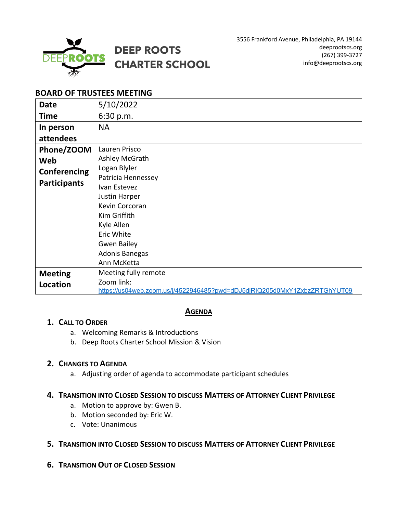

# **BOARD OF TRUSTEES MEETING**

| <b>Date</b>         | 5/10/2022                                                                 |
|---------------------|---------------------------------------------------------------------------|
| <b>Time</b>         | 6:30 p.m.                                                                 |
| In person           | <b>NA</b>                                                                 |
| attendees           |                                                                           |
| Phone/ZOOM          | Lauren Prisco                                                             |
| Web                 | Ashley McGrath                                                            |
| Conferencing        | Logan Blyler                                                              |
| <b>Participants</b> | Patricia Hennessey                                                        |
|                     | Ivan Estevez                                                              |
|                     | Justin Harper                                                             |
|                     | Kevin Corcoran                                                            |
|                     | Kim Griffith                                                              |
|                     | Kyle Allen                                                                |
|                     | Eric White                                                                |
|                     | <b>Gwen Bailey</b>                                                        |
|                     | Adonis Banegas                                                            |
|                     | Ann McKetta                                                               |
| <b>Meeting</b>      | Meeting fully remote                                                      |
| Location            | Zoom link:                                                                |
|                     | https://us04web.zoom.us/j/4522946485?pwd=dDJ5djRIQ205d0MxY1ZxbzZRTGhYUT09 |

## **AGENDA**

## **1. CALL TO ORDER**

- a. Welcoming Remarks & Introductions
- b. Deep Roots Charter School Mission & Vision

# **2. CHANGES TO AGENDA**

a. Adjusting order of agenda to accommodate participant schedules

# **4. TRANSITION INTO CLOSED SESSION TO DISCUSS MATTERS OF ATTORNEY CLIENT PRIVILEGE**

- a. Motion to approve by: Gwen B.
- b. Motion seconded by: Eric W.
- c. Vote: Unanimous

# **5. TRANSITION INTO CLOSED SESSION TO DISCUSS MATTERS OF ATTORNEY CLIENT PRIVILEGE**

**6. TRANSITION OUT OF CLOSED SESSION**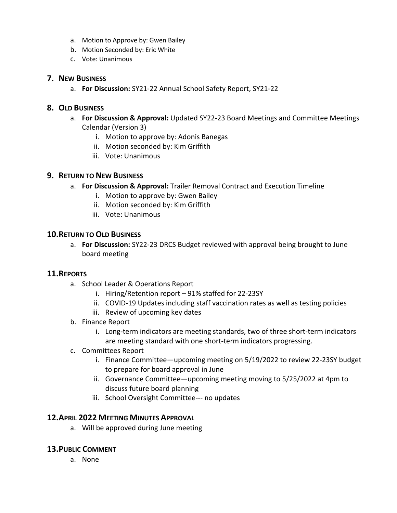- a. Motion to Approve by: Gwen Bailey
- b. Motion Seconded by: Eric White
- c. Vote: Unanimous

#### **7. NEW BUSINESS**

a. **For Discussion:** SY21-22 Annual School Safety Report, SY21-22

## **8. OLD BUSINESS**

- a. **For Discussion & Approval:** Updated SY22-23 Board Meetings and Committee Meetings Calendar (Version 3)
	- i. Motion to approve by: Adonis Banegas
	- ii. Motion seconded by: Kim Griffith
	- iii. Vote: Unanimous

#### **9. RETURN TO NEW BUSINESS**

- a. **For Discussion & Approval:** Trailer Removal Contract and Execution Timeline
	- i. Motion to approve by: Gwen Bailey
	- ii. Motion seconded by: Kim Griffith
	- iii. Vote: Unanimous

#### **10.RETURN TO OLD BUSINESS**

a. **For Discussion:** SY22-23 DRCS Budget reviewed with approval being brought to June board meeting

## **11.REPORTS**

- a. School Leader & Operations Report
	- i. Hiring/Retention report 91% staffed for 22-23SY
	- ii. COVID-19 Updates including staff vaccination rates as well as testing policies
	- iii. Review of upcoming key dates
- b. Finance Report
	- i. Long-term indicators are meeting standards, two of three short-term indicators are meeting standard with one short-term indicators progressing.
- c. Committees Report
	- i. Finance Committee—upcoming meeting on 5/19/2022 to review 22-23SY budget to prepare for board approval in June
	- ii. Governance Committee—upcoming meeting moving to 5/25/2022 at 4pm to discuss future board planning
	- iii. School Oversight Committee--- no updates

## **12.APRIL 2022 MEETING MINUTES APPROVAL**

a. Will be approved during June meeting

## **13.PUBLIC COMMENT**

a. None